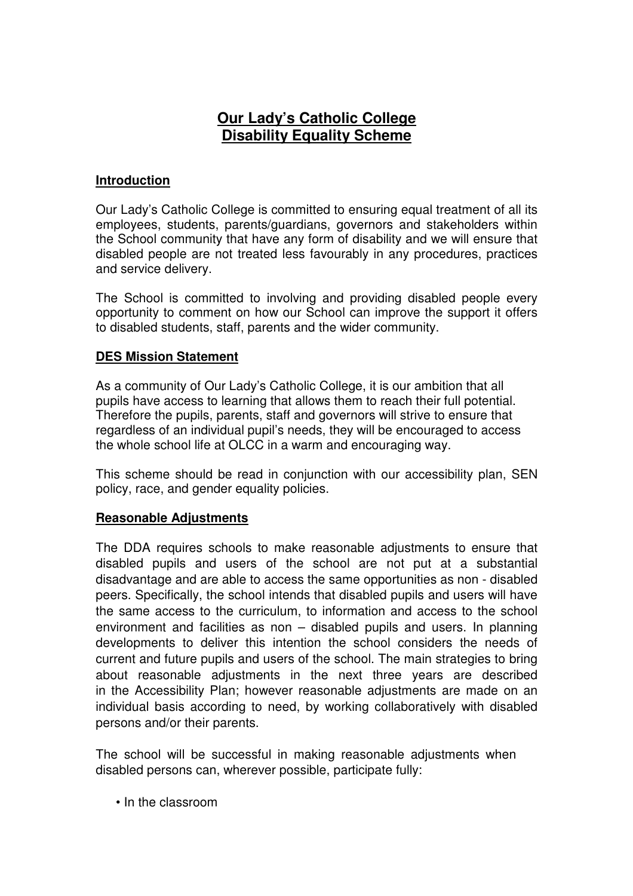# **Our Lady's Catholic College Disability Equality Scheme**

# **Introduction**

Our Lady's Catholic College is committed to ensuring equal treatment of all its employees, students, parents/guardians, governors and stakeholders within the School community that have any form of disability and we will ensure that disabled people are not treated less favourably in any procedures, practices and service delivery.

The School is committed to involving and providing disabled people every opportunity to comment on how our School can improve the support it offers to disabled students, staff, parents and the wider community.

# **DES Mission Statement**

As a community of Our Lady's Catholic College, it is our ambition that all pupils have access to learning that allows them to reach their full potential. Therefore the pupils, parents, staff and governors will strive to ensure that regardless of an individual pupil's needs, they will be encouraged to access the whole school life at OLCC in a warm and encouraging way.

This scheme should be read in conjunction with our accessibility plan, SEN policy, race, and gender equality policies.

# **Reasonable Adjustments**

The DDA requires schools to make reasonable adjustments to ensure that disabled pupils and users of the school are not put at a substantial disadvantage and are able to access the same opportunities as non - disabled peers. Specifically, the school intends that disabled pupils and users will have the same access to the curriculum, to information and access to the school environment and facilities as non – disabled pupils and users. In planning developments to deliver this intention the school considers the needs of current and future pupils and users of the school. The main strategies to bring about reasonable adjustments in the next three years are described in the Accessibility Plan; however reasonable adjustments are made on an individual basis according to need, by working collaboratively with disabled persons and/or their parents.

The school will be successful in making reasonable adjustments when disabled persons can, wherever possible, participate fully:

• In the classroom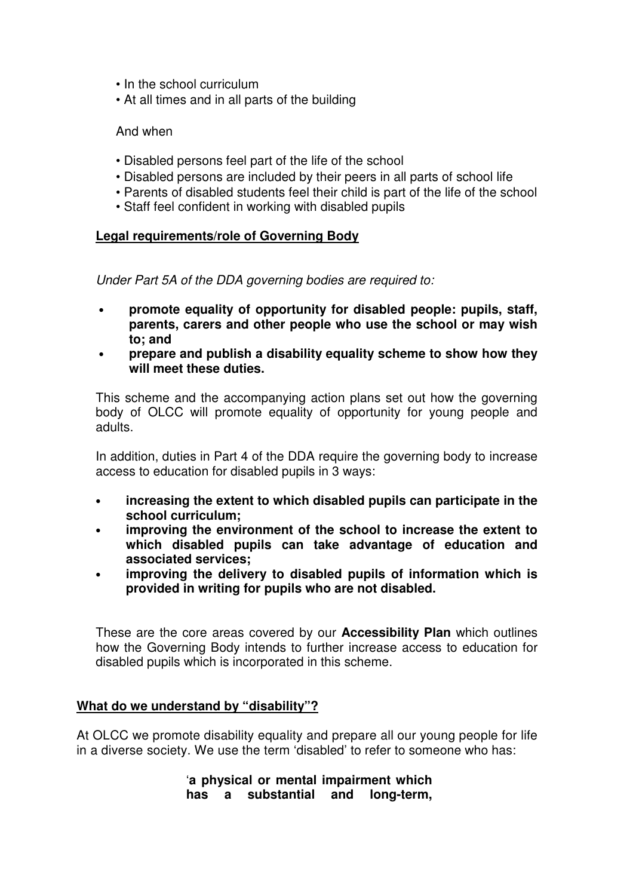- In the school curriculum
- At all times and in all parts of the building

### And when

- Disabled persons feel part of the life of the school
- Disabled persons are included by their peers in all parts of school life
- Parents of disabled students feel their child is part of the life of the school
- Staff feel confident in working with disabled pupils

# **Legal requirements/role of Governing Body**

Under Part 5A of the DDA governing bodies are required to:

- **promote equality of opportunity for disabled people: pupils, staff, parents, carers and other people who use the school or may wish to; and**
- **prepare and publish a disability equality scheme to show how they will meet these duties.**

This scheme and the accompanying action plans set out how the governing body of OLCC will promote equality of opportunity for young people and adults.

In addition, duties in Part 4 of the DDA require the governing body to increase access to education for disabled pupils in 3 ways:

- **increasing the extent to which disabled pupils can participate in the school curriculum;**
- **improving the environment of the school to increase the extent to which disabled pupils can take advantage of education and associated services;**
- **improving the delivery to disabled pupils of information which is provided in writing for pupils who are not disabled.**

These are the core areas covered by our **Accessibility Plan** which outlines how the Governing Body intends to further increase access to education for disabled pupils which is incorporated in this scheme.

### **What do we understand by "disability"?**

At OLCC we promote disability equality and prepare all our young people for life in a diverse society. We use the term 'disabled' to refer to someone who has:

> '**a physical or mental impairment which has a substantial and long-term,**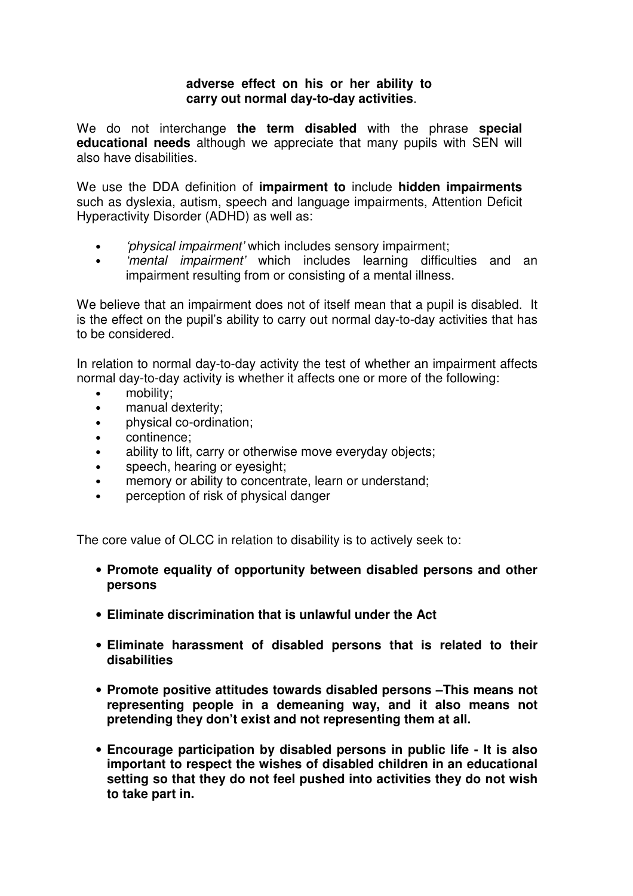#### **adverse effect on his or her ability to carry out normal day-to-day activities**.

We do not interchange **the term disabled** with the phrase **special educational needs** although we appreciate that many pupils with SEN will also have disabilities.

We use the DDA definition of **impairment to** include **hidden impairments**  such as dyslexia, autism, speech and language impairments, Attention Deficit Hyperactivity Disorder (ADHD) as well as:

- 'physical impairment' which includes sensory impairment;
- 'mental impairment' which includes learning difficulties and an impairment resulting from or consisting of a mental illness.

We believe that an impairment does not of itself mean that a pupil is disabled. It is the effect on the pupil's ability to carry out normal day-to-day activities that has to be considered.

In relation to normal day-to-day activity the test of whether an impairment affects normal day-to-day activity is whether it affects one or more of the following:

- mobility:
- manual dexterity;
- physical co-ordination;
- continence;
- ability to lift, carry or otherwise move everyday objects;
- speech, hearing or eyesight;
- memory or ability to concentrate, learn or understand;
- perception of risk of physical danger

The core value of OLCC in relation to disability is to actively seek to:

- **Promote equality of opportunity between disabled persons and other persons**
- **Eliminate discrimination that is unlawful under the Act**
- **Eliminate harassment of disabled persons that is related to their disabilities**
- **Promote positive attitudes towards disabled persons –This means not representing people in a demeaning way, and it also means not pretending they don't exist and not representing them at all.**
- **Encourage participation by disabled persons in public life It is also important to respect the wishes of disabled children in an educational setting so that they do not feel pushed into activities they do not wish to take part in.**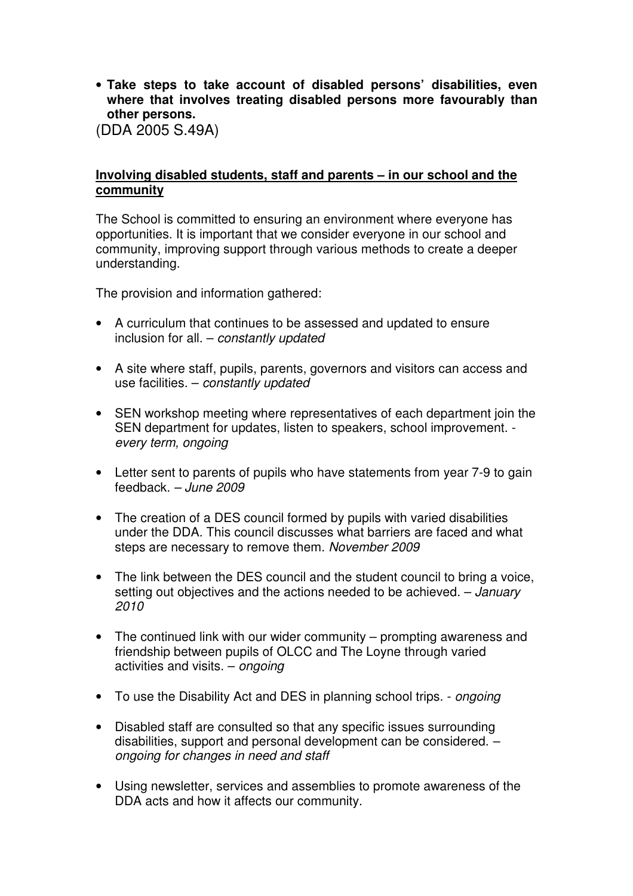• **Take steps to take account of disabled persons' disabilities, even where that involves treating disabled persons more favourably than other persons.** 

(DDA 2005 S.49A)

### **Involving disabled students, staff and parents – in our school and the community**

The School is committed to ensuring an environment where everyone has opportunities. It is important that we consider everyone in our school and community, improving support through various methods to create a deeper understanding.

The provision and information gathered:

- A curriculum that continues to be assessed and updated to ensure inclusion for all. – constantly updated
- A site where staff, pupils, parents, governors and visitors can access and use facilities.  $-$  constantly updated
- SEN workshop meeting where representatives of each department join the SEN department for updates, listen to speakers, school improvement. every term, ongoing
- Letter sent to parents of pupils who have statements from year 7-9 to gain feedback. – June 2009
- The creation of a DES council formed by pupils with varied disabilities under the DDA. This council discusses what barriers are faced and what steps are necessary to remove them. November 2009
- The link between the DES council and the student council to bring a voice, setting out objectives and the actions needed to be achieved. – January 2010
- The continued link with our wider community prompting awareness and friendship between pupils of OLCC and The Loyne through varied activities and visits. – ongoing
- To use the Disability Act and DES in planning school trips. *ongoing*
- Disabled staff are consulted so that any specific issues surrounding disabilities, support and personal development can be considered. – ongoing for changes in need and staff
- Using newsletter, services and assemblies to promote awareness of the DDA acts and how it affects our community.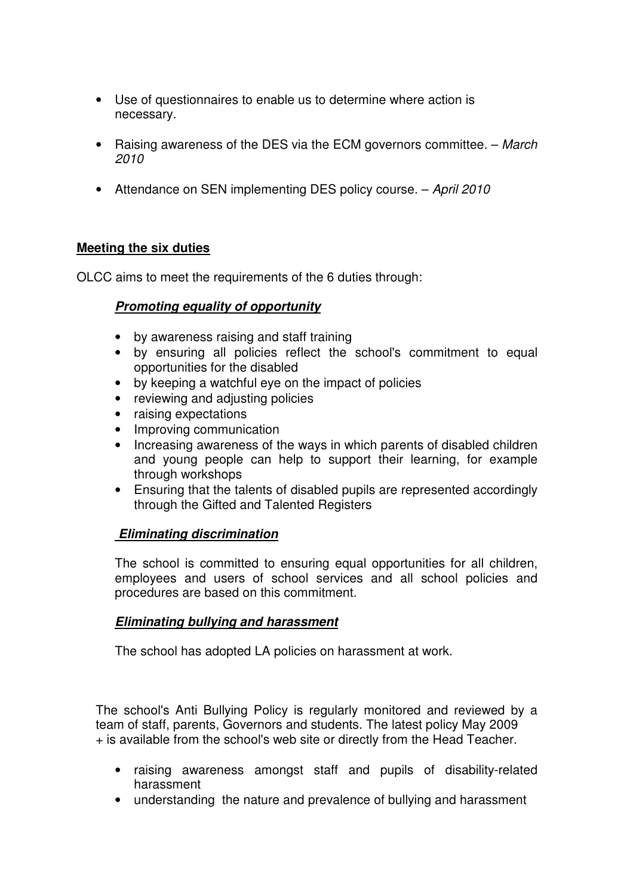- Use of questionnaires to enable us to determine where action is necessary.
- Raising awareness of the DES via the ECM governors committee. March 2010
- Attendance on SEN implementing DES policy course. April 2010

# **Meeting the six duties**

OLCC aims to meet the requirements of the 6 duties through:

# **Promoting equality of opportunity**

- by awareness raising and staff training
- by ensuring all policies reflect the school's commitment to equal opportunities for the disabled
- by keeping a watchful eye on the impact of policies
- reviewing and adjusting policies
- raising expectations
- Improving communication
- Increasing awareness of the ways in which parents of disabled children and young people can help to support their learning, for example through workshops
- Ensuring that the talents of disabled pupils are represented accordingly through the Gifted and Talented Registers

# **Eliminating discrimination**

The school is committed to ensuring equal opportunities for all children, employees and users of school services and all school policies and procedures are based on this commitment.

# **Eliminating bullying and harassment**

The school has adopted LA policies on harassment at work.

The school's Anti Bullying Policy is regularly monitored and reviewed by a team of staff, parents, Governors and students. The latest policy May 2009 + is available from the school's web site or directly from the Head Teacher.

- raising awareness amongst staff and pupils of disability-related harassment
- understanding the nature and prevalence of bullying and harassment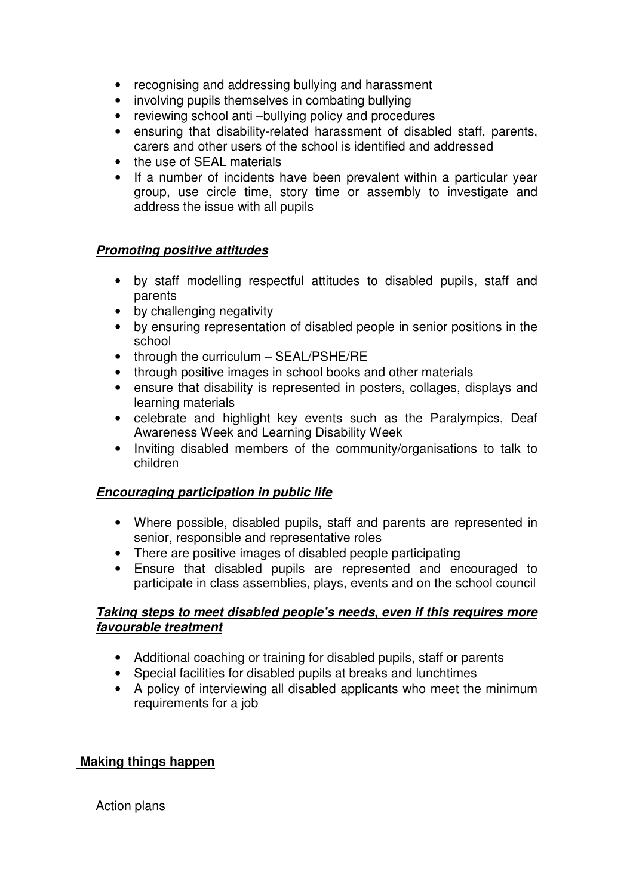- recognising and addressing bullying and harassment
- involving pupils themselves in combating bullying
- reviewing school anti-bullying policy and procedures
- ensuring that disability-related harassment of disabled staff, parents, carers and other users of the school is identified and addressed
- the use of SEAL materials
- If a number of incidents have been prevalent within a particular year group, use circle time, story time or assembly to investigate and address the issue with all pupils

### **Promoting positive attitudes**

- by staff modelling respectful attitudes to disabled pupils, staff and parents
- by challenging negativity
- by ensuring representation of disabled people in senior positions in the school
- through the curriculum SEAL/PSHE/RE
- through positive images in school books and other materials
- ensure that disability is represented in posters, collages, displays and learning materials
- celebrate and highlight key events such as the Paralympics, Deaf Awareness Week and Learning Disability Week
- Inviting disabled members of the community/organisations to talk to children

# **Encouraging participation in public life**

- Where possible, disabled pupils, staff and parents are represented in senior, responsible and representative roles
- There are positive images of disabled people participating
- Ensure that disabled pupils are represented and encouraged to participate in class assemblies, plays, events and on the school council

### **Taking steps to meet disabled people's needs, even if this requires more favourable treatment**

- Additional coaching or training for disabled pupils, staff or parents
- Special facilities for disabled pupils at breaks and lunchtimes
- A policy of interviewing all disabled applicants who meet the minimum requirements for a job

# **Making things happen**

### Action plans